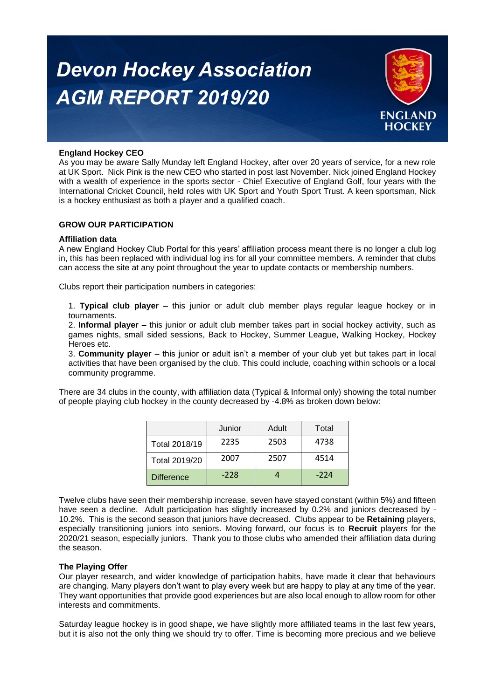# *Devon Hockey Association AGM REPORT 2019/20*



# **England Hockey CEO**

As you may be aware Sally Munday left England Hockey, after over 20 years of service, for a new role at UK Sport. Nick Pink is the new CEO who started in post last November. Nick joined England Hockey with a wealth of experience in the sports sector - Chief Executive of England Golf, four years with the International Cricket Council, held roles with UK Sport and Youth Sport Trust. A keen sportsman, Nick is a hockey enthusiast as both a player and a qualified coach.

## **GROW OUR PARTICIPATION**

#### **Affiliation data**

A new England Hockey Club Portal for this years' affiliation process meant there is no longer a club log in, this has been replaced with individual log ins for all your committee members. A reminder that clubs can access the site at any point throughout the year to update contacts or membership numbers.

Clubs report their participation numbers in categories:

1. **Typical club player** – this junior or adult club member plays regular league hockey or in tournaments.

2. **Informal player** – this junior or adult club member takes part in social hockey activity, such as games nights, small sided sessions, Back to Hockey, Summer League, Walking Hockey, Hockey Heroes etc.

3. **Community player** – this junior or adult isn't a member of your club yet but takes part in local activities that have been organised by the club. This could include, coaching within schools or a local community programme.

There are 34 clubs in the county, with affiliation data (Typical & Informal only) showing the total number of people playing club hockey in the county decreased by -4.8% as broken down below:

|                   | Junior | Adult | Total  |
|-------------------|--------|-------|--------|
| Total 2018/19     | 2235   | 2503  | 4738   |
| Total 2019/20     | 2007   | 2507  | 4514   |
| <b>Difference</b> | $-228$ |       | $-224$ |

Twelve clubs have seen their membership increase, seven have stayed constant (within 5%) and fifteen have seen a decline. Adult participation has slightly increased by 0.2% and juniors decreased by -10.2%. This is the second season that juniors have decreased. Clubs appear to be **Retaining** players, especially transitioning juniors into seniors. Moving forward, our focus is to **Recruit** players for the 2020/21 season, especially juniors. Thank you to those clubs who amended their affiliation data during the season.

#### **The Playing Offer**

Our player research, and wider knowledge of participation habits, have made it clear that behaviours are changing. Many players don't want to play every week but are happy to play at any time of the year. They want opportunities that provide good experiences but are also local enough to allow room for other interests and commitments.

Saturday league hockey is in good shape, we have slightly more affiliated teams in the last few years, but it is also not the only thing we should try to offer. Time is becoming more precious and we believe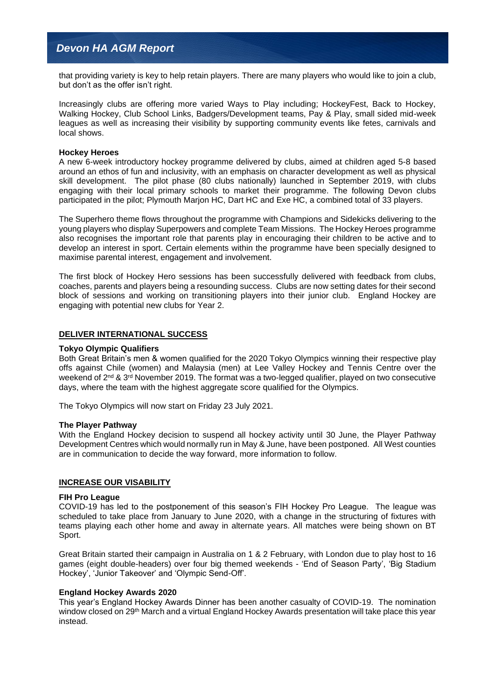# *Devon HA AGM Report*

that providing variety is key to help retain players. There are many players who would like to join a club, but don't as the offer isn't right.

Increasingly clubs are offering more varied Ways to Play including; HockeyFest, Back to Hockey, Walking Hockey, Club School Links, Badgers/Development teams, Pay & Play, small sided mid-week leagues as well as increasing their visibility by supporting community events like fetes, carnivals and local shows.

#### **Hockey Heroes**

A new 6-week introductory hockey programme delivered by clubs, aimed at children aged 5-8 based around an ethos of fun and inclusivity, with an emphasis on character development as well as physical skill development. The pilot phase (80 clubs nationally) launched in September 2019, with clubs engaging with their local primary schools to market their programme. The following Devon clubs participated in the pilot; Plymouth Marjon HC, Dart HC and Exe HC, a combined total of 33 players.

The Superhero theme flows throughout the programme with Champions and Sidekicks delivering to the young players who display Superpowers and complete Team Missions. The Hockey Heroes programme also recognises the important role that parents play in encouraging their children to be active and to develop an interest in sport. Certain elements within the programme have been specially designed to maximise parental interest, engagement and involvement.

The first block of Hockey Hero sessions has been successfully delivered with feedback from clubs, coaches, parents and players being a resounding success. Clubs are now setting dates for their second block of sessions and working on transitioning players into their junior club. England Hockey are engaging with potential new clubs for Year 2.

#### **DELIVER INTERNATIONAL SUCCESS**

#### **Tokyo Olympic Qualifiers**

Both Great Britain's men & women qualified for the 2020 Tokyo Olympics winning their respective play offs against Chile (women) and Malaysia (men) at Lee Valley Hockey and Tennis Centre over the weekend of 2<sup>nd</sup> & 3<sup>rd</sup> November 2019. The format was a two-legged qualifier, played on two consecutive days, where the team with the highest aggregate score qualified for the Olympics.

The Tokyo Olympics will now start on Friday 23 July 2021.

#### **The Player Pathway**

With the England Hockey decision to suspend all hockey activity until 30 June, the Player Pathway Development Centres which would normally run in May & June, have been postponed. All West counties are in communication to decide the way forward, more information to follow.

#### **INCREASE OUR VISABILITY**

#### **FIH Pro League**

COVID-19 has led to the postponement of this season's FIH Hockey Pro League. The league was scheduled to take place from January to June 2020, with a change in the structuring of fixtures with teams playing each other home and away in alternate years. All matches were being shown on BT Sport.

Great Britain started their campaign in Australia on 1 & 2 February, with London due to play host to 16 games (eight double-headers) over four big themed weekends - 'End of Season Party', 'Big Stadium Hockey', 'Junior Takeover' and 'Olympic Send-Off'.

#### **England Hockey Awards 2020**

This year's England Hockey Awards Dinner has been another casualty of COVID-19. The nomination window closed on 29<sup>th</sup> March and a virtual England Hockey Awards presentation will take place this year instead.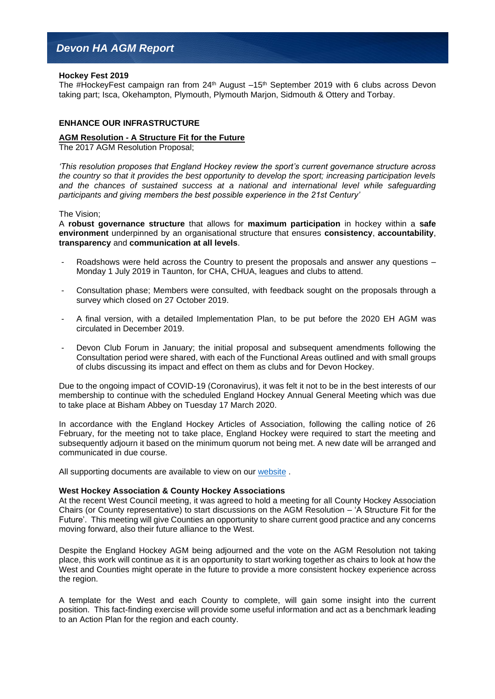#### **Hockey Fest 2019**

The #HockeyFest campaign ran from  $24<sup>th</sup>$  August  $-15<sup>th</sup>$  September 2019 with 6 clubs across Devon taking part; Isca, Okehampton, Plymouth, Plymouth Marjon, Sidmouth & Ottery and Torbay.

## **ENHANCE OUR INFRASTRUCTURE**

#### **AGM Resolution - A Structure Fit for the Future**

The 2017 AGM Resolution Proposal;

*'This resolution proposes that England Hockey review the sport's current governance structure across the country so that it provides the best opportunity to develop the sport; increasing participation levels and the chances of sustained success at a national and international level while safeguarding participants and giving members the best possible experience in the 21st Century'*

#### The Vision;

A **robust governance structure** that allows for **maximum participation** in hockey within a **safe environment** underpinned by an organisational structure that ensures **consistency**, **accountability**, **transparency** and **communication at all levels**.

- Roadshows were held across the Country to present the proposals and answer any questions Monday 1 July 2019 in Taunton, for CHA, CHUA, leagues and clubs to attend.
- Consultation phase; Members were consulted, with feedback sought on the proposals through a survey which closed on 27 October 2019.
- A final version, with a detailed Implementation Plan, to be put before the 2020 EH AGM was circulated in December 2019.
- Devon Club Forum in January; the initial proposal and subsequent amendments following the Consultation period were shared, with each of the Functional Areas outlined and with small groups of clubs discussing its impact and effect on them as clubs and for Devon Hockey.

Due to the ongoing impact of COVID-19 (Coronavirus), it was felt it not to be in the best interests of our membership to continue with the scheduled England Hockey Annual General Meeting which was due to take place at Bisham Abbey on Tuesday 17 March 2020.

In accordance with the England Hockey Articles of Association, following the calling notice of 26 February, for the meeting not to take place, England Hockey were required to start the meeting and subsequently adjourn it based on the minimum quorum not being met. A new date will be arranged and communicated in due course.

All supporting documents are available to view on our [website](http://www.englandhockey.co.uk/page.asp?section=2464§ionTitle=Governance+Review+2018).

#### **West Hockey Association & County Hockey Associations**

At the recent West Council meeting, it was agreed to hold a meeting for all County Hockey Association Chairs (or County representative) to start discussions on the AGM Resolution – 'A Structure Fit for the Future'. This meeting will give Counties an opportunity to share current good practice and any concerns moving forward, also their future alliance to the West.

Despite the England Hockey AGM being adjourned and the vote on the AGM Resolution not taking place, this work will continue as it is an opportunity to start working together as chairs to look at how the West and Counties might operate in the future to provide a more consistent hockey experience across the region.

A template for the West and each County to complete, will gain some insight into the current position. This fact-finding exercise will provide some useful information and act as a benchmark leading to an Action Plan for the region and each county.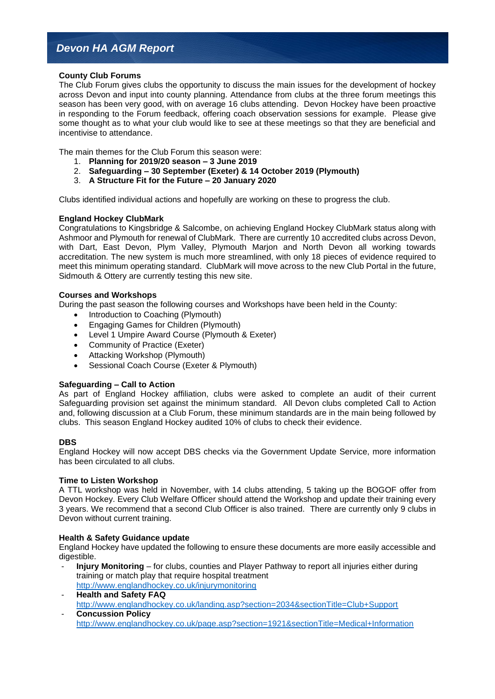# *Devon HA AGM Report*

# **County Club Forums**

The Club Forum gives clubs the opportunity to discuss the main issues for the development of hockey across Devon and input into county planning. Attendance from clubs at the three forum meetings this season has been very good, with on average 16 clubs attending. Devon Hockey have been proactive in responding to the Forum feedback, offering coach observation sessions for example. Please give some thought as to what your club would like to see at these meetings so that they are beneficial and incentivise to attendance.

The main themes for the Club Forum this season were:

- 1. **Planning for 2019/20 season – 3 June 2019**
- 2. **Safeguarding – 30 September (Exeter) & 14 October 2019 (Plymouth)**
- 3. **A Structure Fit for the Future – 20 January 2020**

Clubs identified individual actions and hopefully are working on these to progress the club.

## **England Hockey ClubMark**

Congratulations to Kingsbridge & Salcombe, on achieving England Hockey ClubMark status along with Ashmoor and Plymouth for renewal of ClubMark. There are currently 10 accredited clubs across Devon, with Dart, East Devon, Plym Valley, Plymouth Marjon and North Devon all working towards accreditation. The new system is much more streamlined, with only 18 pieces of evidence required to meet this minimum operating standard. ClubMark will move across to the new Club Portal in the future, Sidmouth & Ottery are currently testing this new site.

#### **Courses and Workshops**

During the past season the following courses and Workshops have been held in the County:

- Introduction to Coaching (Plymouth)
- Engaging Games for Children (Plymouth)
- Level 1 Umpire Award Course (Plymouth & Exeter)
- Community of Practice (Exeter)
- Attacking Workshop (Plymouth)
- Sessional Coach Course (Exeter & Plymouth)

#### **Safeguarding – Call to Action**

As part of England Hockey affiliation, clubs were asked to complete an audit of their current Safeguarding provision set against the minimum standard. All Devon clubs completed Call to Action and, following discussion at a Club Forum, these minimum standards are in the main being followed by clubs. This season England Hockey audited 10% of clubs to check their evidence.

#### **DBS**

England Hockey will now accept DBS checks via the Government Update Service, more information has been circulated to all clubs.

#### **Time to Listen Workshop**

A TTL workshop was held in November, with 14 clubs attending, 5 taking up the BOGOF offer from Devon Hockey. Every Club Welfare Officer should attend the Workshop and update their training every 3 years. We recommend that a second Club Officer is also trained. There are currently only 9 clubs in Devon without current training.

#### **Health & Safety Guidance update**

England Hockey have updated the following to ensure these documents are more easily accessible and digestible.

- **Injury Monitoring** for clubs, counties and Player Pathway to report all injuries either during training or match play that require hospital treatment <http://www.englandhockey.co.uk/injurymonitoring>
- **Health and Safety FAQ** [http://www.englandhockey.co.uk/landing.asp?section=2034&sectionTitle=Club+Support](http://www.englandhockey.co.uk/landing.asp?section=2034§ionTitle=Club+Support) - **Concussion Policy**  [http://www.englandhockey.co.uk/page.asp?section=1921&sectionTitle=Medical+Information](http://www.englandhockey.co.uk/page.asp?section=1921§ionTitle=Medical+Information)